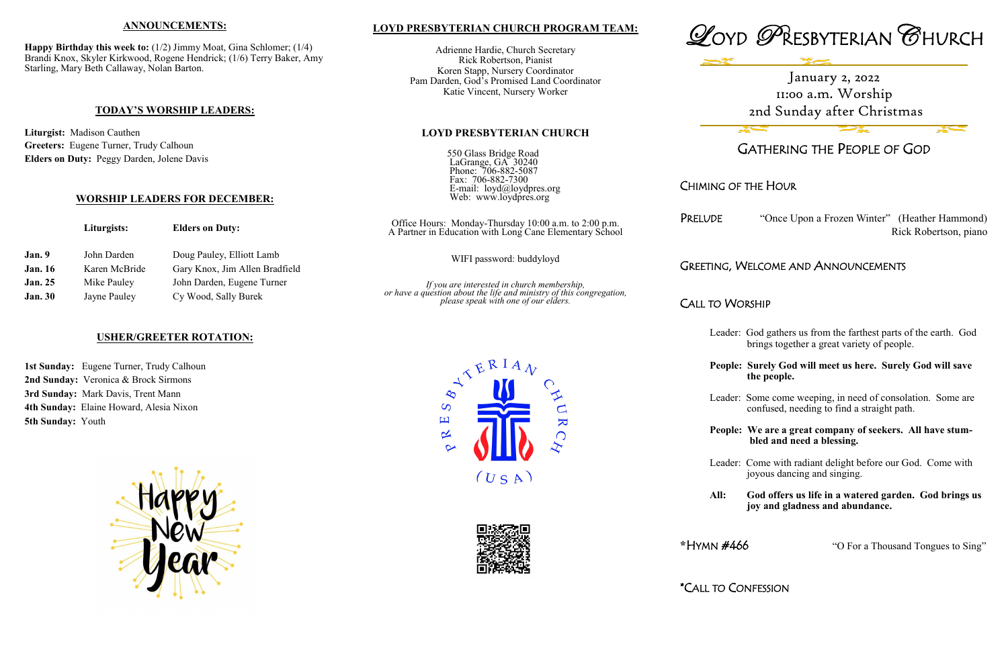## **LOYD PRESBYTERIAN CHURCH PROGRAM TEAM:**

Adrienne Hardie, Church Secretary Rick Robertson, Pianist Koren Stapp, Nursery Coordinator Pam Darden, God's Promised Land Coordinator Katie Vincent, Nursery Worker

### **LOYD PRESBYTERIAN CHURCH**

550 Glass Bridge Road LaGrange, GA 30240 Phone: 706-882-5087 Fax: 706-882-7300 E-mail: loyd@loydpres.org Web: www.loydpres.org

"Once Upon a Frozen Winter" (Heather Hammond) Rick Robertson, piano

## WELCOME AND ANNOUNCEMENTS

### VORSHIP



## GATHERING THE PEOPLE OF GOD

## CHIMING OF THE HOUR

**Happy Birthday this week to:** (1/2) Jimmy Moat, Gina Schlomer; (1/4) Brandi Knox, Skyler Kirkwood, Rogene Hendrick; (1/6) Terry Baker, Amy Starling, Mary Beth Callaway, Nolan Barton.

- Leader: God gathers us from the farthest parts of the earth. God brings together a great variety of people.
- **People: Surely God will meet us here. Surely God will save the people.**

Leader: Some come weeping, in need of consolation. Some are confused, needing to find a straight path.

1st Sunday: Eugene Turner, Trudy Calhoun **2nd Sunday:** Veronica & Brock Sirmons **3rd Sunday:** Mark Davis, Trent Mann **4th Sunday:** Elaine Howard, Alesia Nixon **5th Sunday:** Youth



**People: We are a great company of seekers. All have stum bled and need a blessing.**

|                       | Liturgists:   | <b>Elders on Duty:</b>                             | Office Hours: Monday-Thursday 10:00 a.m. to 2:00 p.m.<br>A Partner in Education with Long Cane Elementary School                                            | PRELUDE   |  |
|-----------------------|---------------|----------------------------------------------------|-------------------------------------------------------------------------------------------------------------------------------------------------------------|-----------|--|
| Jan. 9<br>John Darden |               | Doug Pauley, Elliott Lamb                          | WIFI password: buddyloyd                                                                                                                                    |           |  |
| <b>Jan.</b> 16        | Karen McBride | Gary Knox, Jim Allen Bradfield                     |                                                                                                                                                             | GREETING, |  |
| <b>Jan. 25</b>        | Mike Pauley   | John Darden, Eugene Turner<br>Cy Wood, Sally Burek |                                                                                                                                                             |           |  |
| <b>Jan. 30</b>        | Jayne Pauley  |                                                    | If you are interested in church membership,<br>or have a question about the life and ministry of this congregation,<br>please speak with one of our elders. | Call to W |  |

Leader: Come with radiant delight before our God. Come with joyous dancing and singing.

**All: God offers us life in a watered garden. God brings us joy and gladness and abundance.**

**\***HYMN #466 "O For a Thousand Tongues to Sing"

\*CALL TO CONFESSION



 $(USA)$ 

 $\mathbf{K}$ 

 $\bigcap$ 

 $\overline{S}$ 国

 $\propto$ 

#### **ANNOUNCEMENTS:**

### **TODAY'S WORSHIP LEADERS:**

**Liturgist:** Madison Cauthen **Greeters:** Eugene Turner, Trudy Calhoun **Elders on Duty:** Peggy Darden, Jolene Davis

### **WORSHIP LEADERS FOR DECEMBER:**

### **USHER/GREETER ROTATION:**

# January 2, 2022 11:00 a.m. Worship 2nd Sunday after Christmas